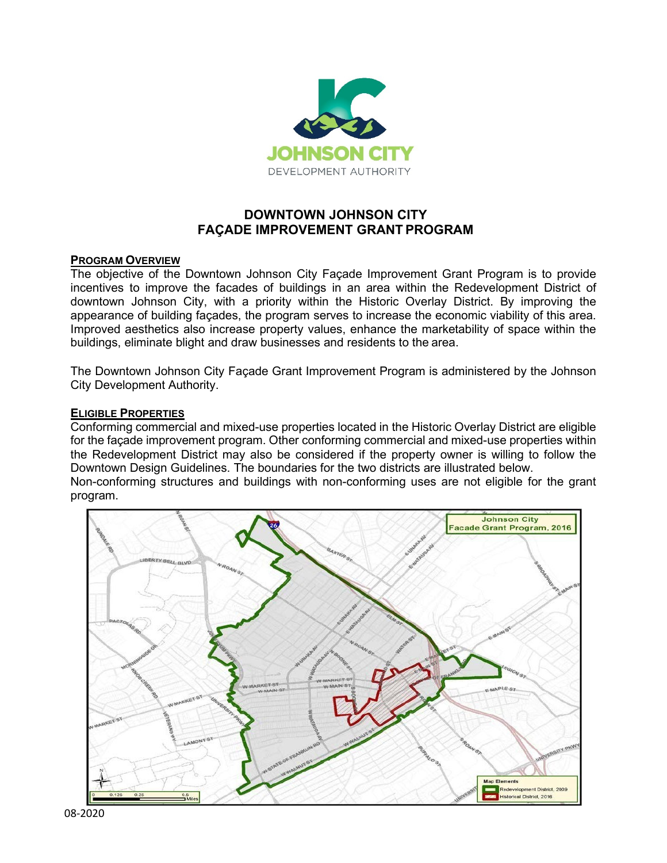

## **DOWNTOWN JOHNSON CITY FAÇADE IMPROVEMENT GRANT PROGRAM**

#### **PROGRAM OVERVIEW**

The objective of the Downtown Johnson City Façade Improvement Grant Program is to provide incentives to improve the facades of buildings in an area within the Redevelopment District of downtown Johnson City, with a priority within the Historic Overlay District. By improving the appearance of building façades, the program serves to increase the economic viability of this area. Improved aesthetics also increase property values, enhance the marketability of space within the buildings, eliminate blight and draw businesses and residents to the area.

The Downtown Johnson City Façade Grant Improvement Program is administered by the Johnson City Development Authority.

#### **ELIGIBLE PROPERTIES**

Conforming commercial and mixed-use properties located in the Historic Overlay District are eligible for the façade improvement program. Other conforming commercial and mixed-use properties within the Redevelopment District may also be considered if the property owner is willing to follow the Downtown Design Guidelines. The boundaries for the two districts are illustrated below.

Non-conforming structures and buildings with non-conforming uses are not eligible for the grant program.

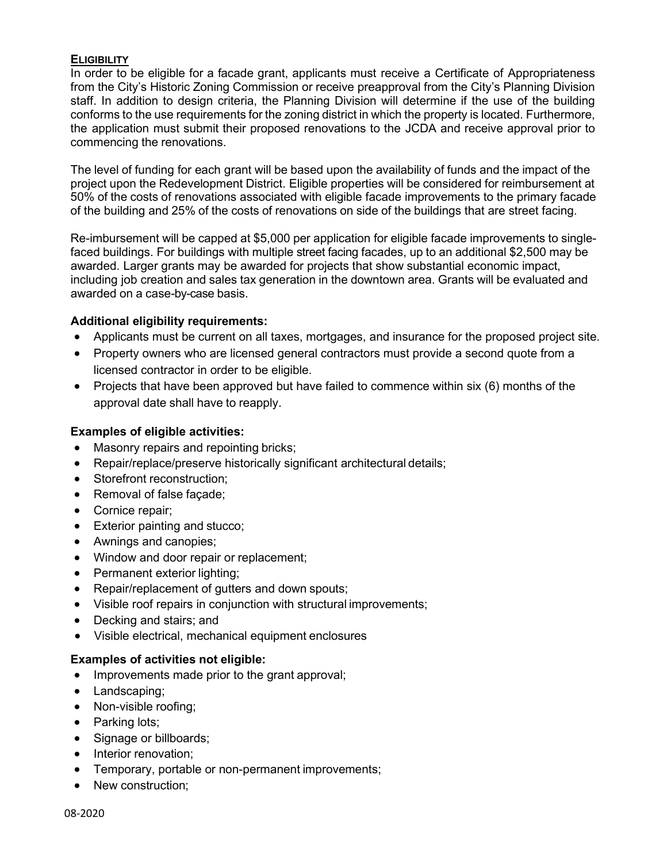#### **ELIGIBILITY**

In order to be eligible for a facade grant, applicants must receive a Certificate of Appropriateness from the City's Historic Zoning Commission or receive preapproval from the City's Planning Division staff. In addition to design criteria, the Planning Division will determine if the use of the building conforms to the use requirements for the zoning district in which the property is located. Furthermore, the application must submit their proposed renovations to the JCDA and receive approval prior to commencing the renovations.

The level of funding for each grant will be based upon the availability of funds and the impact of the project upon the Redevelopment District. Eligible properties will be considered for reimbursement at 50% of the costs of renovations associated with eligible facade improvements to the primary facade of the building and 25% of the costs of renovations on side of the buildings that are street facing.

Re-imbursement will be capped at \$5,000 per application for eligible facade improvements to singlefaced buildings. For buildings with multiple street facing facades, up to an additional \$2,500 may be awarded. Larger grants may be awarded for projects that show substantial economic impact, including job creation and sales tax generation in the downtown area. Grants will be evaluated and awarded on a case-by-case basis.

#### **Additional eligibility requirements:**

- Applicants must be current on all taxes, mortgages, and insurance for the proposed project site.
- Property owners who are licensed general contractors must provide a second quote from a licensed contractor in order to be eligible.
- Projects that have been approved but have failed to commence within six (6) months of the approval date shall have to reapply.

#### **Examples of eligible activities:**

- Masonry repairs and repointing bricks;
- Repair/replace/preserve historically significant architectural details:
- Storefront reconstruction;
- Removal of false façade;
- Cornice repair;
- Exterior painting and stucco;
- Awnings and canopies;
- Window and door repair or replacement;
- Permanent exterior lighting;
- Repair/replacement of gutters and down spouts;
- Visible roof repairs in conjunction with structural improvements;
- Decking and stairs; and
- Visible electrical, mechanical equipment enclosures

#### **Examples of activities not eligible:**

- Improvements made prior to the grant approval;
- Landscaping;
- Non-visible roofing;
- Parking lots;
- Signage or billboards;
- Interior renovation;
- Temporary, portable or non-permanent improvements;
- New construction: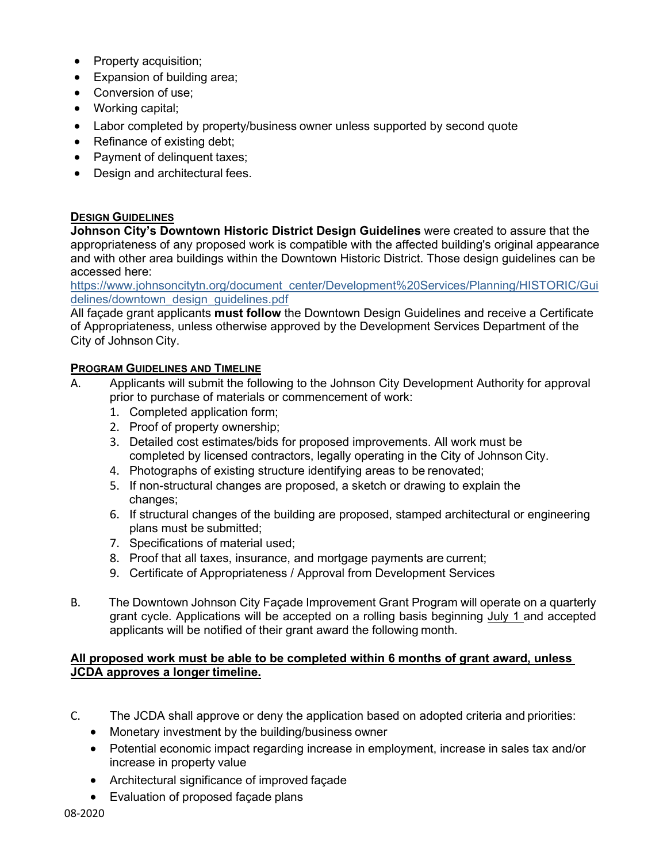- Property acquisition;
- Expansion of building area;
- Conversion of use;
- Working capital;
- Labor completed by property/business owner unless supported by second quote
- Refinance of existing debt;
- Payment of delinquent taxes;
- Design and architectural fees.

#### **DESIGN GUIDELINES**

**Johnson City's Downtown Historic District Design Guidelines** were created to assure that the appropriateness of any proposed work is compatible with the affected building's original appearance and with other area buildings within the Downtown Historic District. Those design guidelines can be accessed here:

[https://www.johnsoncitytn.org/document\\_center/Development%20Services/Planning/HISTORIC/Gui](https://www.johnsoncitytn.org/document_center/Development%20Services/Planning/HISTORIC/Guidelines/downtown_design_guidelines.pdf) [delines/downtown\\_design\\_guidelines.pdf](https://www.johnsoncitytn.org/document_center/Development%20Services/Planning/HISTORIC/Guidelines/downtown_design_guidelines.pdf)

All façade grant applicants **must follow** the Downtown Design Guidelines and receive a Certificate of Appropriateness, unless otherwise approved by the Development Services Department of the City of Johnson City.

#### **PROGRAM GUIDELINES AND TIMELINE**

- A. Applicants will submit the following to the Johnson City Development Authority for approval prior to purchase of materials or commencement of work:
	- 1. Completed application form;
	- 2. Proof of property ownership;
	- 3. Detailed cost estimates/bids for proposed improvements. All work must be completed by licensed contractors, legally operating in the City of Johnson City.
	- 4. Photographs of existing structure identifying areas to be renovated;
	- 5. If non-structural changes are proposed, a sketch or drawing to explain the changes;
	- 6. If structural changes of the building are proposed, stamped architectural or engineering plans must be submitted;
	- 7. Specifications of material used;
	- 8. Proof that all taxes, insurance, and mortgage payments are current;
	- 9. Certificate of Appropriateness / Approval from Development Services
- B. The Downtown Johnson City Façade Improvement Grant Program will operate on a quarterly grant cycle. Applications will be accepted on a rolling basis beginning July 1 and accepted applicants will be notified of their grant award the following month.

#### **All proposed work must be able to be completed within 6 months of grant award, unless JCDA approves a longer timeline.**

- C. The JCDA shall approve or deny the application based on adopted criteria and priorities:
	- Monetary investment by the building/business owner
	- Potential economic impact regarding increase in employment, increase in sales tax and/or increase in property value
	- Architectural significance of improved façade
	- Evaluation of proposed façade plans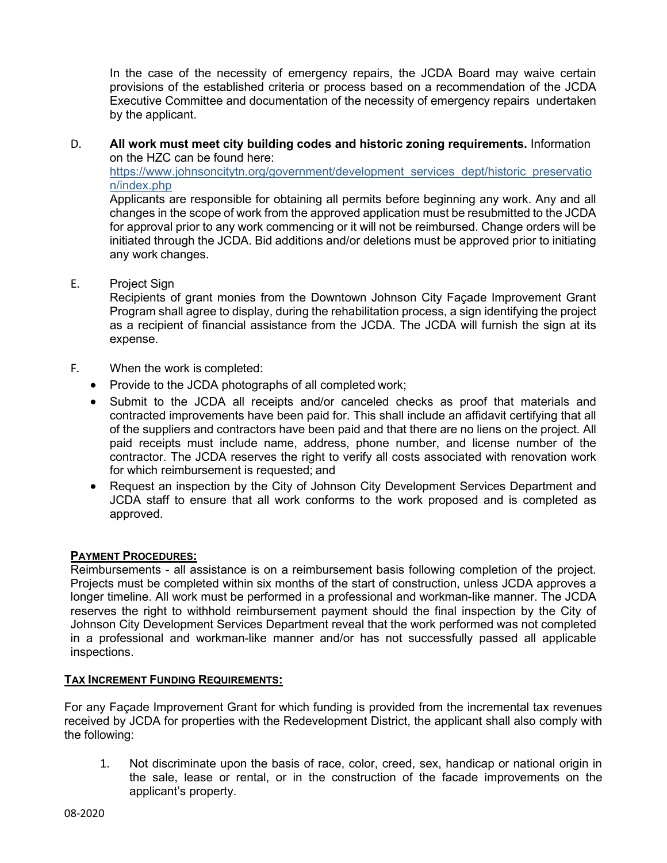In the case of the necessity of emergency repairs, the JCDA Board may waive certain provisions of the established criteria or process based on a recommendation of the JCDA Executive Committee and documentation of the necessity of emergency repairs undertaken by the applicant.

D. **All work must meet city building codes and historic zoning requirements.** Information on the HZC can be found here:

[https://www.johnsoncitytn.org/government/development\\_services\\_dept/historic\\_preservatio](https://www.johnsoncitytn.org/government/development_services_dept/historic_preservation/index.php) [n/index.php](https://www.johnsoncitytn.org/government/development_services_dept/historic_preservation/index.php)

Applicants are responsible for obtaining all permits before beginning any work. Any and all changes in the scope of work from the approved application must be resubmitted to the JCDA for approval prior to any work commencing or it will not be reimbursed. Change orders will be initiated through the JCDA. Bid additions and/or deletions must be approved prior to initiating any work changes.

E. Project Sign

Recipients of grant monies from the Downtown Johnson City Façade Improvement Grant Program shall agree to display, during the rehabilitation process, a sign identifying the project as a recipient of financial assistance from the JCDA. The JCDA will furnish the sign at its expense.

- F. When the work is completed:
	- Provide to the JCDA photographs of all completed work;
	- Submit to the JCDA all receipts and/or canceled checks as proof that materials and contracted improvements have been paid for. This shall include an affidavit certifying that all of the suppliers and contractors have been paid and that there are no liens on the project. All paid receipts must include name, address, phone number, and license number of the contractor. The JCDA reserves the right to verify all costs associated with renovation work for which reimbursement is requested; and
	- Request an inspection by the City of Johnson City Development Services Department and JCDA staff to ensure that all work conforms to the work proposed and is completed as approved.

#### **PAYMENT PROCEDURES:**

Reimbursements - all assistance is on a reimbursement basis following completion of the project. Projects must be completed within six months of the start of construction, unless JCDA approves a longer timeline. All work must be performed in a professional and workman-like manner. The JCDA reserves the right to withhold reimbursement payment should the final inspection by the City of Johnson City Development Services Department reveal that the work performed was not completed in a professional and workman-like manner and/or has not successfully passed all applicable inspections.

#### **TAX INCREMENT FUNDING REQUIREMENTS:**

For any Façade Improvement Grant for which funding is provided from the incremental tax revenues received by JCDA for properties with the Redevelopment District, the applicant shall also comply with the following:

1. Not discriminate upon the basis of race, color, creed, sex, handicap or national origin in the sale, lease or rental, or in the construction of the facade improvements on the applicant's property.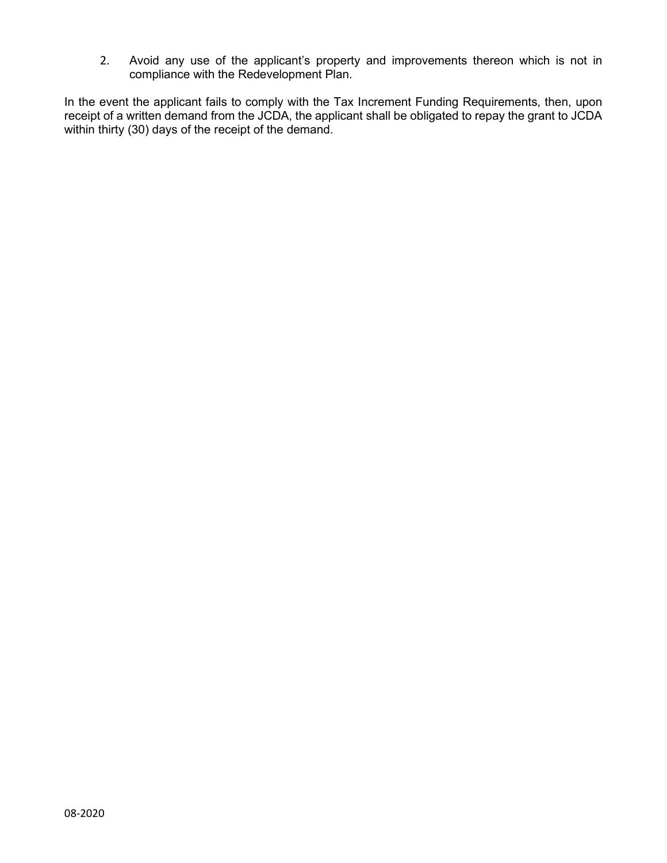2. Avoid any use of the applicant's property and improvements thereon which is not in compliance with the Redevelopment Plan.

In the event the applicant fails to comply with the Tax Increment Funding Requirements, then, upon receipt of a written demand from the JCDA, the applicant shall be obligated to repay the grant to JCDA within thirty (30) days of the receipt of the demand.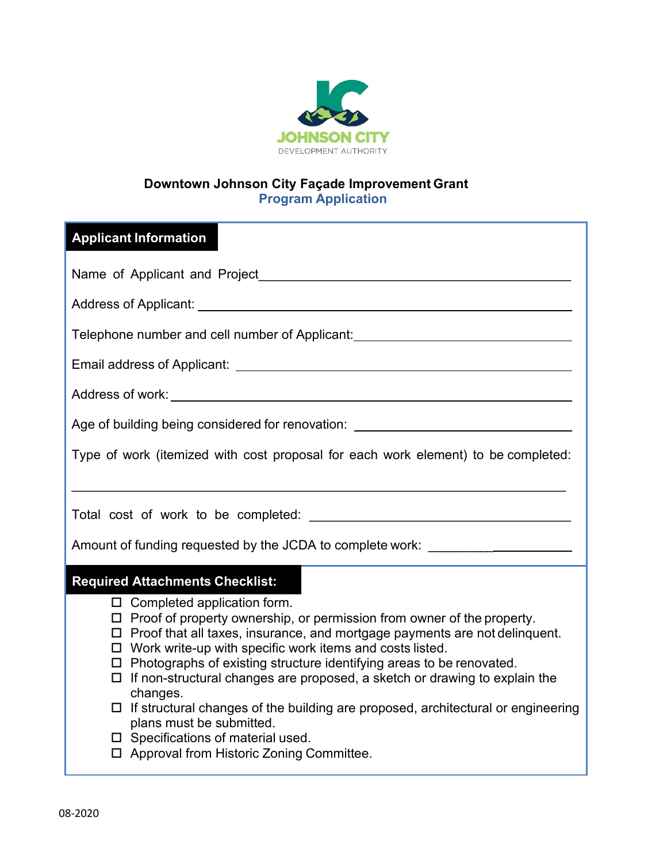

# **Downtown Johnson City Façade Improvement Grant Program Application**

# **Applicant Information**

| Name of Applicant and Project Name of Applicant and Project                                                                                                                                                                                                                                                                                                                                                                                                                                                                                                                                                                                                                                                              |  |  |  |
|--------------------------------------------------------------------------------------------------------------------------------------------------------------------------------------------------------------------------------------------------------------------------------------------------------------------------------------------------------------------------------------------------------------------------------------------------------------------------------------------------------------------------------------------------------------------------------------------------------------------------------------------------------------------------------------------------------------------------|--|--|--|
| Address of Applicant: <u>Address</u> of Applicant:                                                                                                                                                                                                                                                                                                                                                                                                                                                                                                                                                                                                                                                                       |  |  |  |
| Telephone number and cell number of Applicant: _________________________________                                                                                                                                                                                                                                                                                                                                                                                                                                                                                                                                                                                                                                         |  |  |  |
|                                                                                                                                                                                                                                                                                                                                                                                                                                                                                                                                                                                                                                                                                                                          |  |  |  |
|                                                                                                                                                                                                                                                                                                                                                                                                                                                                                                                                                                                                                                                                                                                          |  |  |  |
| Age of building being considered for renovation: _______________________________                                                                                                                                                                                                                                                                                                                                                                                                                                                                                                                                                                                                                                         |  |  |  |
| Type of work (itemized with cost proposal for each work element) to be completed:                                                                                                                                                                                                                                                                                                                                                                                                                                                                                                                                                                                                                                        |  |  |  |
|                                                                                                                                                                                                                                                                                                                                                                                                                                                                                                                                                                                                                                                                                                                          |  |  |  |
|                                                                                                                                                                                                                                                                                                                                                                                                                                                                                                                                                                                                                                                                                                                          |  |  |  |
| Amount of funding requested by the JCDA to complete work: ______________________                                                                                                                                                                                                                                                                                                                                                                                                                                                                                                                                                                                                                                         |  |  |  |
| <b>Required Attachments Checklist:</b><br>$\Box$ Completed application form.<br>$\Box$ Proof of property ownership, or permission from owner of the property.<br>$\Box$ Proof that all taxes, insurance, and mortgage payments are not delinguent.<br>$\Box$ Work write-up with specific work items and costs listed.<br>$\Box$ Photographs of existing structure identifying areas to be renovated.<br>$\Box$ If non-structural changes are proposed, a sketch or drawing to explain the<br>changes.<br>$\Box$ If structural changes of the building are proposed, architectural or engineering<br>plans must be submitted.<br>$\square$ Specifications of material used.<br>□ Approval from Historic Zoning Committee. |  |  |  |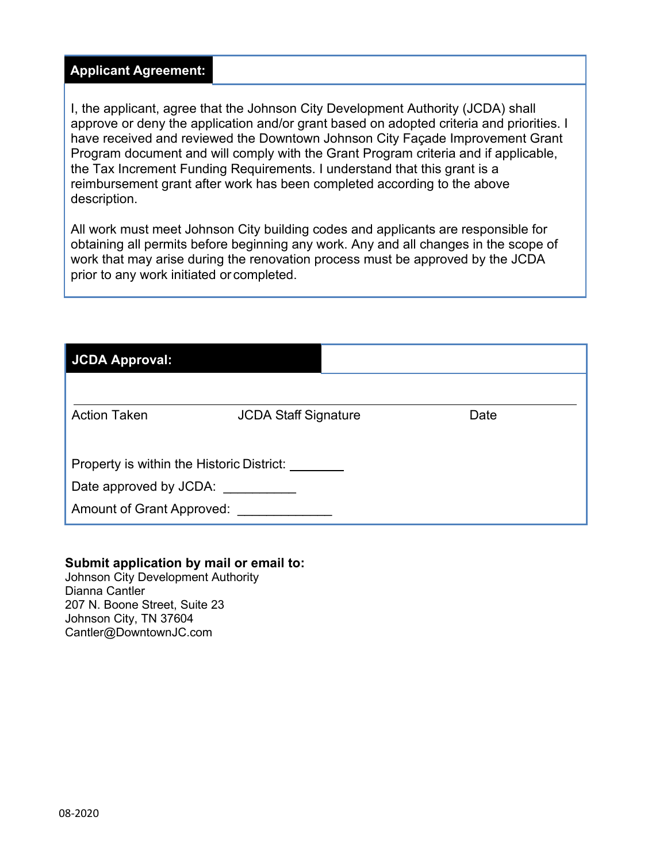### **Applicant Agreement:**

I, the applicant, agree that the Johnson City Development Authority (JCDA) shall approve or deny the application and/or grant based on adopted criteria and priorities. I have received and reviewed the Downtown Johnson City Façade Improvement Grant Program document and will comply with the Grant Program criteria and if applicable, the Tax Increment Funding Requirements. I understand that this grant is a reimbursement grant after work has been completed according to the above description.

All work must meet Johnson City building codes and applicants are responsible for obtaining all permits before beginning any work. Any and all changes in the scope of work that may arise during the renovation process must be approved by the JCDA prior to any work initiated or completed.

## **JCDA Approval:**

| <b>Action Taken</b>                       | <b>JCDA Staff Signature</b> | Date |  |  |
|-------------------------------------------|-----------------------------|------|--|--|
|                                           |                             |      |  |  |
| Property is within the Historic District: |                             |      |  |  |
| Date approved by JCDA:                    |                             |      |  |  |
| Amount of Grant Approved:                 |                             |      |  |  |

# **Submit application by mail or email to:**

 Dianna Cantler 207 N. Boone Street, Suite 23 Johnson City Development Authority Johnson City, TN 37604 Cantler@DowntownJC.com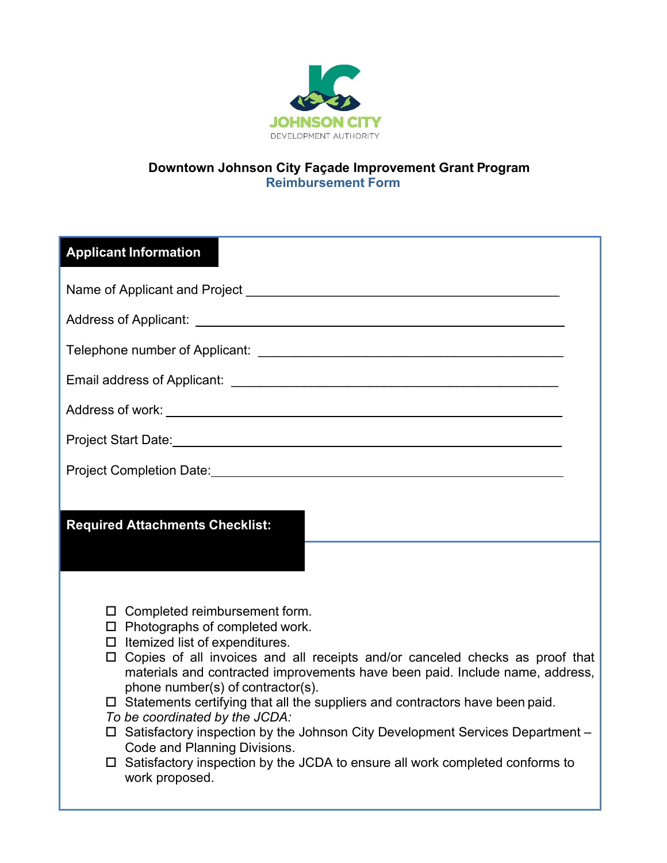

# **Downtown Johnson City Façade Improvement Grant Program Reimbursement Form**

| <b>Applicant Information</b>                                                                                                                                                                                                                                                                                                                                                                                                                                                                                                                                                                                                                                                            |
|-----------------------------------------------------------------------------------------------------------------------------------------------------------------------------------------------------------------------------------------------------------------------------------------------------------------------------------------------------------------------------------------------------------------------------------------------------------------------------------------------------------------------------------------------------------------------------------------------------------------------------------------------------------------------------------------|
|                                                                                                                                                                                                                                                                                                                                                                                                                                                                                                                                                                                                                                                                                         |
|                                                                                                                                                                                                                                                                                                                                                                                                                                                                                                                                                                                                                                                                                         |
|                                                                                                                                                                                                                                                                                                                                                                                                                                                                                                                                                                                                                                                                                         |
|                                                                                                                                                                                                                                                                                                                                                                                                                                                                                                                                                                                                                                                                                         |
|                                                                                                                                                                                                                                                                                                                                                                                                                                                                                                                                                                                                                                                                                         |
|                                                                                                                                                                                                                                                                                                                                                                                                                                                                                                                                                                                                                                                                                         |
| Project Completion Date: We have a series of the contract of the contract of the contract of the contract of the contract of the contract of the contract of the contract of the contract of the contract of the contract of t                                                                                                                                                                                                                                                                                                                                                                                                                                                          |
| <b>Required Attachments Checklist:</b>                                                                                                                                                                                                                                                                                                                                                                                                                                                                                                                                                                                                                                                  |
|                                                                                                                                                                                                                                                                                                                                                                                                                                                                                                                                                                                                                                                                                         |
| $\Box$ Completed reimbursement form.<br>$\Box$ Photographs of completed work.<br>$\Box$ Itemized list of expenditures.<br>$\Box$ Copies of all invoices and all receipts and/or canceled checks as proof that<br>materials and contracted improvements have been paid. Include name, address,<br>phone number(s) of contractor(s).<br>$\Box$ Statements certifying that all the suppliers and contractors have been paid.<br>To be coordinated by the JCDA:<br>□ Satisfactory inspection by the Johnson City Development Services Department –<br>Code and Planning Divisions.<br>$\Box$ Satisfactory inspection by the JCDA to ensure all work completed conforms to<br>work proposed. |